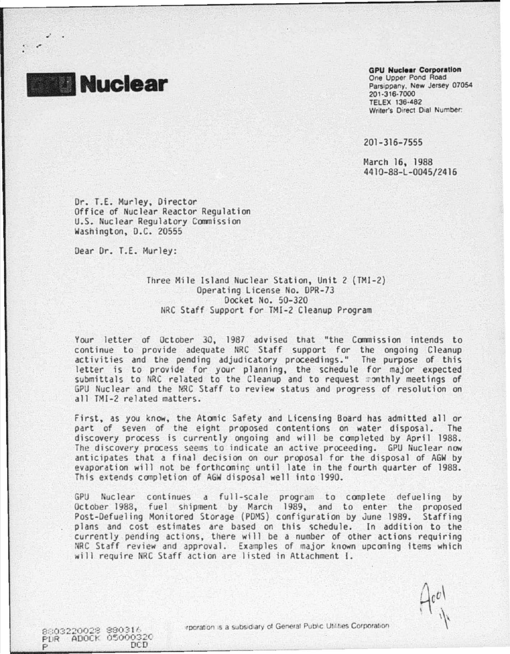

.,·

#### **GPU Nucleer Corporetlon**

One Upper Pond Road Parsippany. New Jersey 07054 201 ·316·7000 TELEX 136·482 Writer's Direct Dial Number:

201-316-7555

Harch 16, 1988 4410-88-L-0045/2416

Or. T.E. Murley. Director Office of Nuclear Reactor Regulation U.S. Nuclear Regulatory Commission washington, D.C. 20555

Dear Dr. T.E. Murley:

# Three Mile Island Nuclear Station, Unit 2 (TMI-2) Operating License No. OPR-73 Docket No. 50-320 NRC Staff Support for TMI-2 Cleanup Program

Your letter of October 30, 1987 advised that "the Commission intends to continue to provide adequate NRC Staff support for the ongoing Cleanup activities and the pending adjudicatory proceedings." The purpose of this letter is to provide for your planning, the schedule for major expected submittals to NRC related to the Cleanup and to request monthly meetings of GPU Nuclear and the NRC Staff to review status and progress of resolution on all TMI-2 related matters.

First, as you know, the Atomic Safety and Licensing Board has admitted all or part of seven of the eight proposed contentions on water disposal. The discovery process is currently ongoing and will be conpleted by April 1988. The discovery process seems to indicate an active proceeding. GPU Nuclear now anticipates that a final decision on our proposal for the disposal of AGW by evaporation will not be forthcoming until late in the fourth quarter of 1988. This extends completion of AGW disposal well into 1990.

GPU Nuclear continues a full-scale program to complete defueling by October 1988, fuel shipment by March 1989, and to enter the proposed Post-Oefueling Monitored Storage (PDMS) configuration by June 1989. Staffing plans and cost estimates are based on this schedule. In addition to the currently pending actions, there will be a number of other actions requiring NRC Staff review and approval. Examples of major known upcoming items which will require NRC Staff action are listed in Attachment !.

es03220028 880316 PUR ADOCK 05000320 rporation is a subsidiary of General Public Utilities Corporation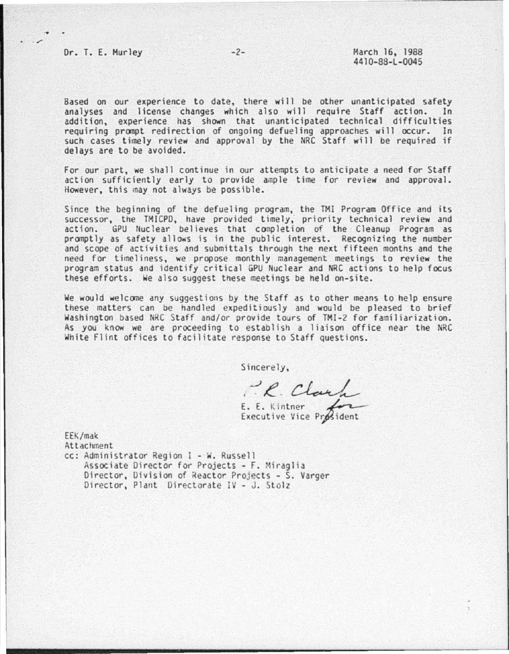Based on our experience to date, there will be other unanticipated safety analyses and license changes which also will require Staff action. In addition, experience has shown that unanticipated technical difficulties requiring pronpt redirection of ongoing defueling approaches will occur. In such cases timely review and approval by the NRC Staff will be required if delays are to be avoided.

For our part, we shall continue in our attempts to anticipate a need for Staff action sufficiently early to provide ample time for review and approval. However. this may not always be possible.

Since the beginning of the defueling program, the TMI Program Office and its successor, the TMICPD, have provided timely, priority technical review and action. GPU Nuclear believes that completion of the Cleanup Program as promptly as safety allows is in the public interest. Recognizing the number and scope of activities and submittals through the next fifteen months and the need for timeliness, we propose monthly management meetings to review the program status and identify critical GPU Nuclear and NRC actions to help focus these efforts. We also suggest tnese meetings be held on-site.

We would welcone any suggestions by the Staff as to other means to help ensure these matters can be handled expeditiously and would be pleased to brief Washington based NRC Staff and/or provide tours of TMI-2 for familiarization. As you know we are proceeding to establish a liaison office near the NRC White Flint offices to facilitate response to Staff questions.

Sincerely,

E.  $\mathcal{L}$ E. K1ntner Clark<br>Clark  $_{\textrm{gradient}}$ 

Executive Vice

EEK/mak Attachment cc: Administrator Reg1on I - w. Russell

Associate Director for Projects - F. Miraglia Director, Division of Reactor Projects - S. Varger Director, Plant Directorate IV - J. Stolz